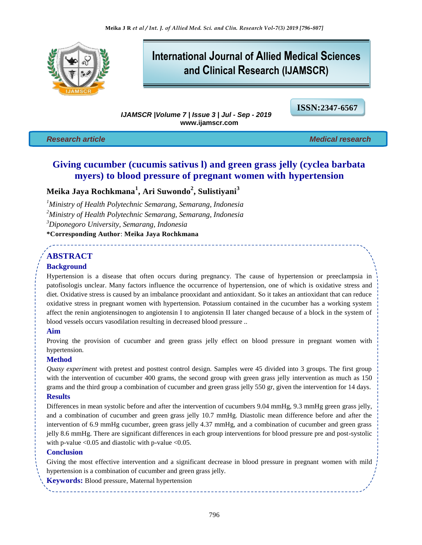

# **International Journal of Allied Medical Sciences and Clinical Research (IJAMSCR)**

*IJAMSCR |Volume 7 | Issue 3 | Jul - Sep - 2019*  **www.ijamscr.com**

**ISSN:2347-6567**

*Research article Medical research*

# **Giving cucumber (cucumis sativus l) and green grass jelly (cyclea barbata myers) to blood pressure of pregnant women with hypertension**

# **Meika Jaya Rochkmana<sup>1</sup> , Ari Suwondo<sup>2</sup> , Sulistiyani<sup>3</sup>**

*Ministry of Health Polytechnic Semarang, Semarang, Indonesia Ministry of Health Polytechnic Semarang, Semarang, Indonesia Diponegoro University, Semarang, Indonesia* **\*Corresponding Author**: **Meika Jaya Rochkmana**

# **ABSTRACT**

## **Background**

Hypertension is a disease that often occurs during pregnancy. The cause of hypertension or preeclampsia in patofisologis unclear. Many factors influence the occurrence of hypertension, one of which is oxidative stress and diet. Oxidative stress is caused by an imbalance prooxidant and antioxidant. So it takes an antioxidant that can reduce oxidative stress in pregnant women with hypertension. Potassium contained in the cucumber has a working system affect the renin angiotensinogen to angiotensin I to angiotensin II later changed because of a block in the system of blood vessels occurs vasodilation resulting in decreased blood pressure ..

## **Aim**

Proving the provision of cucumber and green grass jelly effect on blood pressure in pregnant women with hypertension.

## **Method**

*Quasy experiment* with pretest and posttest control design. Samples were 45 divided into 3 groups. The first group with the intervention of cucumber 400 grams, the second group with green grass jelly intervention as much as 150 grams and the third group a combination of cucumber and green grass jelly 550 gr, given the intervention for 14 days.

# **Results**

Differences in mean systolic before and after the intervention of cucumbers 9.04 mmHg, 9.3 mmHg green grass jelly, and a combination of cucumber and green grass jelly 10.7 mmHg. Diastolic mean difference before and after the intervention of 6.9 mmHg cucumber, green grass jelly 4.37 mmHg, and a combination of cucumber and green grass jelly 8.6 mmHg. There are significant differences in each group interventions for blood pressure pre and post-systolic with p-value  $< 0.05$  and diastolic with p-value  $< 0.05$ .

## **Conclusion**

Giving the most effective intervention and a significant decrease in blood pressure in pregnant women with mild hypertension is a combination of cucumber and green grass jelly.

**Keywords:** Blood pressure, Maternal hypertension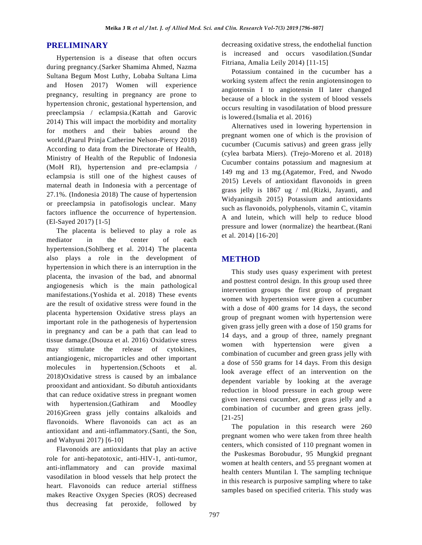# **PRELIMINARY**

Hypertension is a disease that often occurs during pregnancy.(Sarker Shamima Ahmed, Nazma Sultana Begum Most Luthy, Lobaba Sultana Lima and Hosen 2017) Women will experience pregnancy, resulting in pregnancy are prone to hypertension chronic, gestational hypertension, and preeclampsia / eclampsia.(Kattah and Garovic 2014) This will impact the morbidity and mortality for mothers and their babies around the world.(Paarul Prinja Catherine Nelson-Piercy 2018) According to data from the Directorate of Health, Ministry of Health of the Republic of Indonesia (MoH RI), hypertension and pre-eclampsia / eclampsia is still one of the highest causes of maternal death in Indonesia with a percentage of 27.1%. (Indonesia 2018) The cause of hypertension or preeclampsia in patofisologis unclear. Many factors influence the occurrence of hypertension. (El-Sayed 2017) [1-5]

The placenta is believed to play a role as mediator in the center of each hypertension.(Sohlberg et al. 2014) The placenta also plays a role in the development of hypertension in which there is an interruption in the placenta, the invasion of the bad, and abnormal angiogenesis which is the main pathological manifestations.(Yoshida et al. 2018) These events are the result of oxidative stress were found in the placenta hypertension Oxidative stress plays an important role in the pathogenesis of hypertension in pregnancy and can be a path that can lead to tissue damage.(Dsouza et al. 2016) Oxidative stress may stimulate the release of cytokines, antiangiogenic, microparticles and other important molecules in hypertension.(Schoots et al. 2018)Oxidative stress is caused by an imbalance prooxidant and antioxidant. So dibutuh antioxidants that can reduce oxidative stress in pregnant women with hypertension.(Gathiram and Moodley 2016)Green grass jelly contains alkaloids and flavonoids. Where flavonoids can act as an antioxidant and anti-inflammatory.(Santi, the Son, and Wahyuni 2017) [6-10]

Flavonoids are antioxidants that play an active role for anti-hepatotoxic, anti-HIV-1, anti-tumor, anti-inflammatory and can provide maximal vasodilation in blood vessels that help protect the heart. Flavonoids can reduce arterial stiffness makes Reactive Oxygen Species (ROS) decreased thus decreasing fat peroxide, followed by

decreasing oxidative stress, the endothelial function is increased and occurs vasodilation.(Sundar Fitriana, Amalia Leily 2014) [11-15]

Potassium contained in the cucumber has a working system affect the renin angiotensinogen to angiotensin I to angiotensin II later changed because of a block in the system of blood vessels occurs resulting in vasodilatation of blood pressure is lowered.(Ismalia et al. 2016)

Alternatives used in lowering hypertension in pregnant women one of which is the provision of cucumber (Cucumis sativus) and green grass jelly (cylea barbata Miers). (Trejo-Moreno et al. 2018) Cucumber contains potassium and magnesium at 149 mg and 13 mg.(Agatemor, Fred, and Nwodo 2015) Levels of antioxidant flavonoids in green grass jelly is 1867 ug / ml.(Rizki, Jayanti, and Widyaningsih 2015) Potassium and antioxidants such as flavonoids, polyphenols, vitamin C, vitamin A and lutein, which will help to reduce blood pressure and lower (normalize) the heartbeat.(Rani et al. 2014) [16-20]

# **METHOD**

This study uses quasy experiment with pretest and posttest control design. In this group used three intervention groups the first group of pregnant women with hypertension were given a cucumber with a dose of 400 grams for 14 days, the second group of pregnant women with hypertension were given grass jelly green with a dose of 150 grams for 14 days, and a group of three, namely pregnant women with hypertension were given a combination of cucumber and green grass jelly with a dose of 550 grams for 14 days. From this design look average effect of an intervention on the dependent variable by looking at the average reduction in blood pressure in each group were given inervensi cucumber, green grass jelly and a combination of cucumber and green grass jelly. [21-25]

The population in this research were 260 pregnant women who were taken from three health centers, which consisted of 110 pregnant women in the Puskesmas Borobudur, 95 Mungkid pregnant women at health centers, and 55 pregnant women at health centers Muntilan I. The sampling technique in this research is purposive sampling where to take samples based on specified criteria. This study was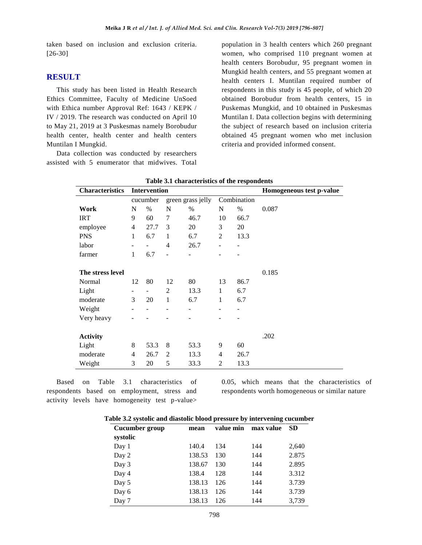taken based on inclusion and exclusion criteria. [26-30]

#### **RESULT**

This study has been listed in Health Research Ethics Committee, Faculty of Medicine UnSoed with Ethica number Approval Ref: 1643 / KEPK / IV / 2019. The research was conducted on April 10 to May 21, 2019 at 3 Puskesmas namely Borobudur health center, health center and health centers Muntilan I Mungkid.

Data collection was conducted by researchers assisted with 5 enumerator that midwives. Total population in 3 health centers which 260 pregnant women, who comprised 110 pregnant women at health centers Borobudur, 95 pregnant women in Mungkid health centers, and 55 pregnant women at health centers I. Muntilan required number of respondents in this study is 45 people, of which 20 obtained Borobudur from health centers, 15 in Puskemas Mungkid, and 10 obtained in Puskesmas Muntilan I. Data collection begins with determining the subject of research based on inclusion criteria obtained 45 pregnant women who met inclusion criteria and provided informed consent.

| <b>Characteristics</b> |                | <b>Intervention</b><br>green grass jelly<br>N<br>N<br>%<br>%<br>$\%$<br>60<br>7<br>10<br>46.7 |                |      |                |      | Homogeneous test p-value |
|------------------------|----------------|-----------------------------------------------------------------------------------------------|----------------|------|----------------|------|--------------------------|
|                        | cucumber       |                                                                                               |                |      | Combination    |      |                          |
| Work                   | N              |                                                                                               |                |      |                |      | 0.087                    |
| <b>IRT</b>             | 9              |                                                                                               |                |      |                | 66.7 |                          |
| employee               | $\overline{4}$ | 27.7                                                                                          | 3              | 20   | 3              | 20   |                          |
| <b>PNS</b>             | 1              | 6.7                                                                                           | 1              | 6.7  | 2              | 13.3 |                          |
| labor                  | ٠              |                                                                                               | $\overline{4}$ | 26.7 |                |      |                          |
| farmer                 | $\mathbf{1}$   | 6.7                                                                                           | $\overline{a}$ |      |                |      |                          |
|                        |                |                                                                                               |                |      |                |      |                          |
| The stress level       |                |                                                                                               |                |      |                |      | 0.185                    |
| Normal                 | 12             | 80                                                                                            | 12             | 80   | 13             | 86.7 |                          |
| Light                  |                |                                                                                               | 2              | 13.3 | 1              | 6.7  |                          |
| moderate               | 3              | 20                                                                                            | 1              | 6.7  | 1              | 6.7  |                          |
| Weight                 |                |                                                                                               |                |      |                |      |                          |
| Very heavy             |                |                                                                                               |                |      |                |      |                          |
|                        |                |                                                                                               |                |      |                |      |                          |
| <b>Activity</b>        |                |                                                                                               |                |      |                |      | .202                     |
| Light                  | 8              | 53.3                                                                                          | 8              | 53.3 | 9              | 60   |                          |
| moderate               | 4              | 26.7                                                                                          | 2              | 13.3 | 4              | 26.7 |                          |
| Weight                 | 3              | 20                                                                                            | 5              | 33.3 | $\overline{2}$ | 13.3 |                          |

Based on Table 3.1 characteristics of respondents based on employment, stress and activity levels have homogeneity test p-value>

> Day 6 Day 7

0.05, which means that the characteristics of respondents worth homogeneous or similar nature

> 3.739 3,739

| <b>Cucumber group</b> | mean   | value min | max value | - SD  |
|-----------------------|--------|-----------|-----------|-------|
| systolic              |        |           |           |       |
| Day 1                 | 140.4  | 134       | 144       | 2,640 |
| Day 2                 | 138.53 | 130       | 144       | 2.875 |
| Day 3                 | 138.67 | 130       | 144       | 2.895 |
| Day 4                 | 138.4  | 128       | 144       | 3.312 |
| Day 5                 | 138.13 | 126       | 144       | 3.739 |

138.13 138.13

| Table 3.2 systolic and diastolic blood pressure by intervening cucumber |  |  |  |  |
|-------------------------------------------------------------------------|--|--|--|--|
|-------------------------------------------------------------------------|--|--|--|--|

126 126 144 144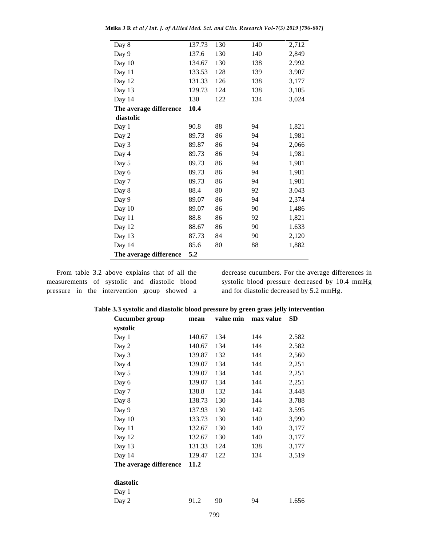| Day 8                  | 137.73 | 130 | 140 | 2,712 |
|------------------------|--------|-----|-----|-------|
| Day 9                  | 137.6  | 130 | 140 | 2,849 |
| Day 10                 | 134.67 | 130 | 138 | 2.992 |
| Day 11                 | 133.53 | 128 | 139 | 3.907 |
| Day 12                 | 131.33 | 126 | 138 | 3,177 |
| Day 13                 | 129.73 | 124 | 138 | 3,105 |
| Day 14                 | 130    | 122 | 134 | 3,024 |
| The average difference | 10.4   |     |     |       |
| diastolic              |        |     |     |       |
| Day 1                  | 90.8   | 88  | 94  | 1,821 |
| Day 2                  | 89.73  | 86  | 94  | 1,981 |
| Day 3                  | 89.87  | 86  | 94  | 2,066 |
| Day 4                  | 89.73  | 86  | 94  | 1,981 |
| Day 5                  | 89.73  | 86  | 94  | 1,981 |
| Day 6                  | 89.73  | 86  | 94  | 1,981 |
| Day 7                  | 89.73  | 86  | 94  | 1,981 |
| Day 8                  | 88.4   | 80  | 92  | 3.043 |
| Day 9                  | 89.07  | 86  | 94  | 2,374 |
| Day 10                 | 89.07  | 86  | 90  | 1,486 |
| Day 11                 | 88.8   | 86  | 92  | 1,821 |
| Day 12                 | 88.67  | 86  | 90  | 1.633 |
| Day 13                 | 87.73  | 84  | 90  | 2,120 |
| Day 14                 | 85.6   | 80  | 88  | 1,882 |
| The average difference | 5.2    |     |     |       |

**Meika J R** *et al / Int. J. of Allied Med. Sci. and Clin. Research Vol-7(3) 2019 [796-807]*

From table 3.2 above explains that of all the measurements of systolic and diastolic blood pressure in the intervention group showed a decrease cucumbers. For the average differences in systolic blood pressure decreased by 10.4 mmHg and for diastolic decreased by 5.2 mmHg.

| Cucumber group         | mean   | value min | max value | <b>SD</b> |
|------------------------|--------|-----------|-----------|-----------|
| systolic               |        |           |           |           |
| Day 1                  | 140.67 | 134       | 144       | 2.582     |
| Day 2                  | 140.67 | 134       | 144       | 2.582     |
| Day 3                  | 139.87 | 132       | 144       | 2,560     |
| Day 4                  | 139.07 | 134       | 144       | 2,251     |
| Day 5                  | 139.07 | 134       | 144       | 2,251     |
| Day 6                  | 139.07 | 134       | 144       | 2,251     |
| Day 7                  | 138.8  | 132       | 144       | 3.448     |
| Day 8                  | 138.73 | 130       | 144       | 3.788     |
| Day 9                  | 137.93 | 130       | 142       | 3.595     |
| Day 10                 | 133.73 | 130       | 140       | 3,990     |
| Day 11                 | 132.67 | 130       | 140       | 3,177     |
| Day 12                 | 132.67 | 130       | 140       | 3,177     |
| Day 13                 | 131.33 | 124       | 138       | 3,177     |
| Day 14                 | 129.47 | 122       | 134       | 3,519     |
| The average difference | 11.2   |           |           |           |
|                        |        |           |           |           |
| diastolic              |        |           |           |           |
| Day 1                  |        |           |           |           |
| Day 2                  | 91.2   | 90        | 94        | 1.656     |

**Table 3.3 systolic and diastolic blood pressure by green grass jelly intervention**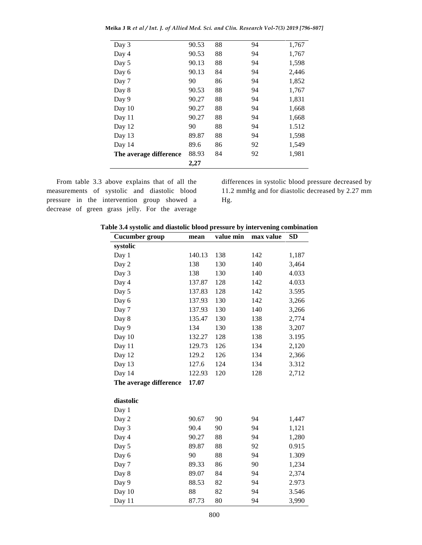| Day 3                  | 90.53 | 88 | 94 | 1,767 |
|------------------------|-------|----|----|-------|
| Day 4                  | 90.53 | 88 | 94 | 1,767 |
| Day 5                  | 90.13 | 88 | 94 | 1,598 |
| Day 6                  | 90.13 | 84 | 94 | 2,446 |
| Day 7                  | 90    | 86 | 94 | 1,852 |
| Day 8                  | 90.53 | 88 | 94 | 1,767 |
| Day 9                  | 90.27 | 88 | 94 | 1,831 |
| Day 10                 | 90.27 | 88 | 94 | 1,668 |
| Day 11                 | 90.27 | 88 | 94 | 1,668 |
| Day 12                 | 90    | 88 | 94 | 1.512 |
| Day 13                 | 89.87 | 88 | 94 | 1,598 |
| Day 14                 | 89.6  | 86 | 92 | 1,549 |
| The average difference | 88.93 | 84 | 92 | 1,981 |
|                        | 2,27  |    |    |       |

**Meika J R** *et al / Int. J. of Allied Med. Sci. and Clin. Research Vol-7(3) 2019 [796-807]*

From table 3.3 above explains that of all the measurements of systolic and diastolic blood pressure in the intervention group showed a decrease of green grass jelly. For the average differences in systolic blood pressure decreased by 11.2 mmHg and for diastolic decreased by 2.27 mm Hg.

| Table 3.4 systolic and diastolic blood pressure by intervening combination |  |  |  |
|----------------------------------------------------------------------------|--|--|--|
|----------------------------------------------------------------------------|--|--|--|

| Cucumber group         | mean   | value min | max value | <b>SD</b> |
|------------------------|--------|-----------|-----------|-----------|
| systolic               |        |           |           |           |
| Day 1                  | 140.13 | 138       | 142       | 1,187     |
| Day 2                  | 138    | 130       | 140       | 3,464     |
| Day 3                  | 138    | 130       | 140       | 4.033     |
| Day 4                  | 137.87 | 128       | 142       | 4.033     |
| Day 5                  | 137.83 | 128       | 142       | 3.595     |
| Day 6                  | 137.93 | 130       | 142       | 3,266     |
| Day 7                  | 137.93 | 130       | 140       | 3,266     |
| Day 8                  | 135.47 | 130       | 138       | 2,774     |
| Day 9                  | 134    | 130       | 138       | 3,207     |
| Day 10                 | 132.27 | 128       | 138       | 3.195     |
| Day 11                 | 129.73 | 126       | 134       | 2,120     |
| Day 12                 | 129.2  | 126       | 134       | 2,366     |
| Day 13                 | 127.6  | 124       | 134       | 3.312     |
| Day 14                 | 122.93 | 120       | 128       | 2,712     |
| The average difference | 17.07  |           |           |           |
|                        |        |           |           |           |
| diastolic              |        |           |           |           |
| Day 1                  |        |           |           |           |
| Day 2                  | 90.67  | 90        | 94        | 1,447     |
| Day 3                  | 90.4   | 90        | 94        | 1,121     |
| Day 4                  | 90.27  | 88        | 94        | 1,280     |
| Day 5                  | 89.87  | 88        | 92        | 0.915     |
| Day 6                  | 90     | 88        | 94        | 1.309     |
| Day 7                  | 89.33  | 86        | 90        | 1,234     |
| Day 8                  | 89.07  | 84        | 94        | 2,374     |
| Day 9                  | 88.53  | 82        | 94        | 2.973     |
| Day 10                 | 88     | 82        | 94        | 3.546     |
| Day 11                 | 87.73  | 80        | 94        | 3,990     |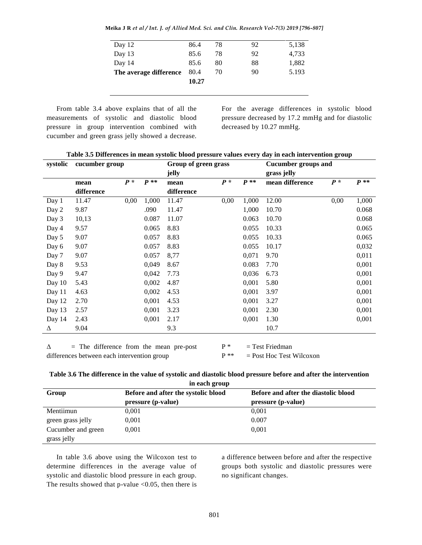**Meika J R** *et al / Int. J. of Allied Med. Sci. and Clin. Research Vol-7(3) 2019 [796-807]*

| Day 12                 | 86.4  | 78 | 92 | 5,138 |
|------------------------|-------|----|----|-------|
| Day 13                 | 85.6  | 78 | 92 | 4,733 |
| Day 14                 | 85.6  | 80 | 88 | 1,882 |
| The average difference | 80.4  | 70 | 90 | 5.193 |
|                        | 10.27 |    |    |       |
|                        |       |    |    |       |

From table 3.4 above explains that of all the measurements of systolic and diastolic blood pressure in group intervention combined with cucumber and green grass jelly showed a decrease.

For the average differences in systolic blood pressure decreased by 17.2 mmHg and for diastolic decreased by 10.27 mmHg.

| Table 3.5 Differences in mean systolic blood pressure values every day in each intervention group |  |  |
|---------------------------------------------------------------------------------------------------|--|--|
|                                                                                                   |  |  |

| systolic | cucumber group     |       |        | Group of green grass<br>jelly |       |        | <b>Cucumber groups and</b><br>grass jelly |       |        |
|----------|--------------------|-------|--------|-------------------------------|-------|--------|-------------------------------------------|-------|--------|
|          | mean<br>difference | $P^*$ | $P$ ** | mean<br>difference            | $P^*$ | $P$ ** | mean difference                           | $P^*$ | $P$ ** |
| Day 1    | 11.47              | 0,00  | 1,000  | 11.47                         | 0,00  | 1,000  | 12.00                                     | 0,00  | 1,000  |
| Day 2    | 9.87               |       | .090   | 11.47                         |       | 1,000  | 10.70                                     |       | 0.068  |
| Day 3    | 10,13              |       | 0.087  | 11.07                         |       | 0.063  | 10.70                                     |       | 0.068  |
| Day 4    | 9.57               |       | 0.065  | 8.83                          |       | 0.055  | 10.33                                     |       | 0.065  |
| Day 5    | 9.07               |       | 0.057  | 8.83                          |       | 0.055  | 10.33                                     |       | 0.065  |
| Day 6    | 9.07               |       | 0.057  | 8.83                          |       | 0.055  | 10.17                                     |       | 0,032  |
| Day 7    | 9.07               |       | 0.057  | 8,77                          |       | 0,071  | 9.70                                      |       | 0,011  |
| Day 8    | 9.53               |       | 0,049  | 8.67                          |       | 0.083  | 7.70                                      |       | 0,001  |
| Day 9    | 9.47               |       | 0,042  | 7.73                          |       | 0,036  | 6.73                                      |       | 0,001  |
| Day 10   | 5.43               |       | 0,002  | 4.87                          |       | 0,001  | 5.80                                      |       | 0,001  |
| Day 11   | 4.63               |       | 0,002  | 4.53                          |       | 0,001  | 3.97                                      |       | 0,001  |
| Day 12   | 2.70               |       | 0,001  | 4.53                          |       | 0,001  | 3.27                                      |       | 0,001  |
| Day 13   | 2.57               |       | 0,001  | 3.23                          |       | 0,001  | 2.30                                      |       | 0,001  |
| Day 14   | 2.43               |       | 0,001  | 2.17                          |       | 0,001  | 1.30                                      |       | 0,001  |
| Δ        | 9.04               |       |        | 9.3                           |       |        | 10.7                                      |       |        |

 $\Delta$  = The difference from the mean pre-post differences between each intervention group

 $P^*$  = Test Friedman

 $P^{**}$  = Post Hoc Test Wilcoxon

| Table 3.6 The difference in the value of systolic and diastolic blood pressure before and after the intervention |
|------------------------------------------------------------------------------------------------------------------|
| in oogh group                                                                                                    |

| III CALII EI UUD   |                                     |                                      |  |  |  |  |  |
|--------------------|-------------------------------------|--------------------------------------|--|--|--|--|--|
| Group              | Before and after the systolic blood | Before and after the diastolic blood |  |  |  |  |  |
|                    | pressure (p-value)                  | pressure (p-value)                   |  |  |  |  |  |
| Mentiimun          | 0.001                               | 0,001                                |  |  |  |  |  |
| green grass jelly  | 0.001                               | 0.007                                |  |  |  |  |  |
| Cucumber and green | 0.001                               | 0,001                                |  |  |  |  |  |
| grass jelly        |                                     |                                      |  |  |  |  |  |

In table 3.6 above using the Wilcoxon test to determine differences in the average value of systolic and diastolic blood pressure in each group. The results showed that p-value  $< 0.05$ , then there is

a difference between before and after the respective groups both systolic and diastolic pressures were no significant changes.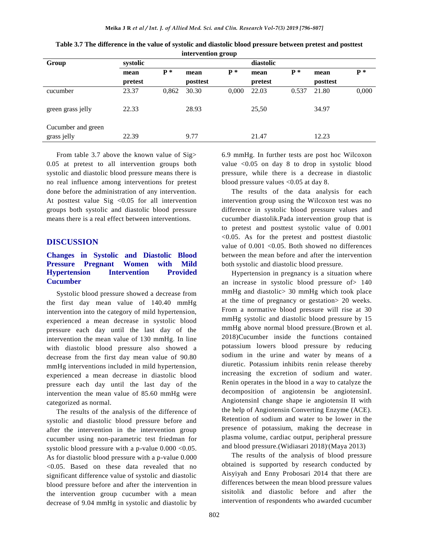| Group                             | systolic |       |          |       | diastolic |       |          |       |
|-----------------------------------|----------|-------|----------|-------|-----------|-------|----------|-------|
|                                   | mean     | $P^*$ | mean     | $P^*$ | mean      | $P^*$ | mean     | $P^*$ |
|                                   | pretest  |       | posttest |       | pretest   |       | posttest |       |
| cucumber                          | 23.37    | 0,862 | 30.30    | 0,000 | 22.03     | 0.537 | 21.80    | 0,000 |
| green grass jelly                 | 22.33    |       | 28.93    |       | 25,50     |       | 34.97    |       |
| Cucumber and green<br>grass jelly | 22.39    |       | 9.77     |       | 21.47     |       | 12.23    |       |
|                                   |          |       |          |       |           |       |          |       |

| Table 3.7 The difference in the value of systolic and diastolic blood pressure between pretest and posttest |
|-------------------------------------------------------------------------------------------------------------|
| intervention group                                                                                          |

From table 3.7 above the known value of Sig> 0.05 at pretest to all intervention groups both systolic and diastolic blood pressure means there is no real influence among interventions for pretest done before the administration of any intervention. At posttest value Sig <0.05 for all intervention groups both systolic and diastolic blood pressure means there is a real effect between interventions.

#### **DISCUSSION**

## **Changes in Systolic and Diastolic Blood Pressure Pregnant Women with Mild Hypertension Intervention Provided Cucumber**

Systolic blood pressure showed a decrease from the first day mean value of 140.40 mmHg intervention into the category of mild hypertension, experienced a mean decrease in systolic blood pressure each day until the last day of the intervention the mean value of 130 mmHg. In line with diastolic blood pressure also showed a decrease from the first day mean value of 90.80 mmHg interventions included in mild hypertension, experienced a mean decrease in diastolic blood pressure each day until the last day of the intervention the mean value of 85.60 mmHg were categorized as normal.

The results of the analysis of the difference of systolic and diastolic blood pressure before and after the intervention in the intervention group cucumber using non-parametric test friedman for systolic blood pressure with a p-value  $0.000 \le 0.05$ . As for diastolic blood pressure with a p-value 0.000 <0.05. Based on these data revealed that no significant difference value of systolic and diastolic blood pressure before and after the intervention in the intervention group cucumber with a mean decrease of 9.04 mmHg in systolic and diastolic by

6.9 mmHg. In further tests are post hoc Wilcoxon value <0.05 on day 8 to drop in systolic blood pressure, while there is a decrease in diastolic blood pressure values <0.05 at day 8.

The results of the data analysis for each intervention group using the Wilcoxon test was no difference in systolic blood pressure values and cucumber diastolik.Pada intervention group that is to pretest and posttest systolic value of 0.001 <0.05. As for the pretest and posttest diastolic value of  $0.001$  <0.05. Both showed no differences between the mean before and after the intervention both systolic and diastolic blood pressure.

Hypertension in pregnancy is a situation where an increase in systolic blood pressure of> 140 mmHg and diastolic> 30 mmHg which took place at the time of pregnancy or gestation> 20 weeks. From a normative blood pressure will rise at 30 mmHg systolic and diastolic blood pressure by 15 mmHg above normal blood pressure.(Brown et al. 2018)Cucumber inside the functions contained potassium lowers blood pressure by reducing sodium in the urine and water by means of a diuretic. Potassium inhibits renin release thereby increasing the excretion of sodium and water. Renin operates in the blood in a way to catalyze the decomposition of angiotensin be angiotensinI. AngiotensinI change shape ie angiotensin II with the help of Angiotensin Converting Enzyme (ACE). Retention of sodium and water to be lower in the presence of potassium, making the decrease in plasma volume, cardiac output, peripheral pressure and blood pressure. (Widiasari 2018)' (Maya 2013)

The results of the analysis of blood pressure obtained is supported by research conducted by Aisyiyah and Enny Probosari 2014 that there are differences between the mean blood pressure values sisitolik and diastolic before and after the intervention of respondents who awarded cucumber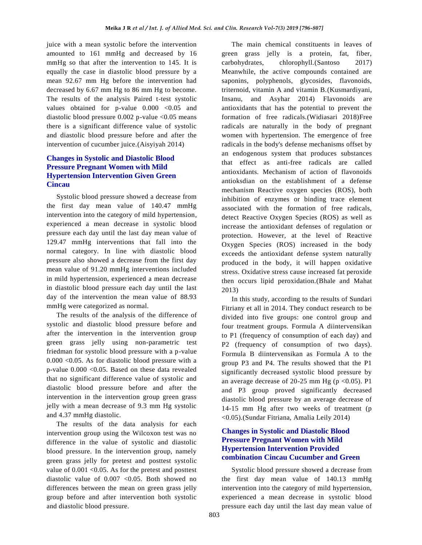juice with a mean systolic before the intervention amounted to 161 mmHg and decreased by 16 mmHg so that after the intervention to 145. It is equally the case in diastolic blood pressure by a mean 92.67 mm Hg before the intervention had decreased by 6.67 mm Hg to 86 mm Hg to become. The results of the analysis Paired t-test systolic values obtained for p-value  $0.000 < 0.05$  and diastolic blood pressure  $0.002$  p-value  $< 0.05$  means there is a significant difference value of systolic and diastolic blood pressure before and after the intervention of cucumber juice.(Aisyiyah 2014)

# **Changes in Systolic and Diastolic Blood Pressure Pregnant Women with Mild Hypertension Intervention Given Green Cincau**

Systolic blood pressure showed a decrease from the first day mean value of 140.47 mmHg intervention into the category of mild hypertension, experienced a mean decrease in systolic blood pressure each day until the last day mean value of 129.47 mmHg interventions that fall into the normal category. In line with diastolic blood pressure also showed a decrease from the first day mean value of 91.20 mmHg interventions included in mild hypertension, experienced a mean decrease in diastolic blood pressure each day until the last day of the intervention the mean value of 88.93 mmHg were categorized as normal.

The results of the analysis of the difference of systolic and diastolic blood pressure before and after the intervention in the intervention group green grass jelly using non-parametric test friedman for systolic blood pressure with a p-value  $0.000 \le 0.05$ . As for diastolic blood pressure with a p-value 0.000 <0.05. Based on these data revealed that no significant difference value of systolic and diastolic blood pressure before and after the intervention in the intervention group green grass jelly with a mean decrease of 9.3 mm Hg systolic and 4.37 mmHg diastolic.

The results of the data analysis for each intervention group using the Wilcoxon test was no difference in the value of systolic and diastolic blood pressure. In the intervention group, namely green grass jelly for pretest and posttest systolic value of  $0.001 \leq 0.05$ . As for the pretest and posttest diastolic value of  $0.007$  <  $0.05$ . Both showed no differences between the mean on green grass jelly group before and after intervention both systolic and diastolic blood pressure.

The main chemical constituents in leaves of green grass jelly is a protein, fat, fiber, carbohydrates, chlorophyll.(Santoso 2017) Meanwhile, the active compounds contained are saponins, polyphenols, glycosides, flavonoids, triternoid, vitamin A and vitamin B.(Kusmardiyani, Insanu, and Asyhar 2014) Flavonoids are antioxidants that has the potential to prevent the formation of free radicals.(Widiasari 2018)Free radicals are naturally in the body of pregnant women with hypertension. The emergence of free radicals in the body's defense mechanisms offset by an endogenous system that produces substances that effect as anti-free radicals are called antioxidants. Mechanism of action of flavonoids antioksdian on the establishment of a defense mechanism Reactive oxygen species (ROS), both inhibition of enzymes or binding trace element associated with the formation of free radicals, detect Reactive Oxygen Species (ROS) as well as increase the antioxidant defenses of regulation or protection. However, at the level of Reactive Oxygen Species (ROS) increased in the body exceeds the antioxidant defense system naturally produced in the body, it will happen oxidative stress. Oxidative stress cause increased fat peroxide then occurs lipid peroxidation.(Bhale and Mahat 2013)

In this study, according to the results of Sundari Fitriany et all in 2014. They conduct research to be divided into five groups: one control group and four treatment groups. Formula A diintervensikan to P1 (frequency of consumption of each day) and P2 (frequency of consumption of two days). Formula B diintervensikan as Formula A to the group P3 and P4. The results showed that the P1 significantly decreased systolic blood pressure by an average decrease of 20-25 mm Hg ( $p < 0.05$ ). P1 and P3 group proved significantly decreased diastolic blood pressure by an average decrease of 14-15 mm Hg after two weeks of treatment (p <0.05).(Sundar Fitriana, Amalia Leily 2014)

# **Changes in Systolic and Diastolic Blood Pressure Pregnant Women with Mild Hypertension Intervention Provided combination Cincau Cucumber and Green**

Systolic blood pressure showed a decrease from the first day mean value of 140.13 mmHg intervention into the category of mild hypertension, experienced a mean decrease in systolic blood pressure each day until the last day mean value of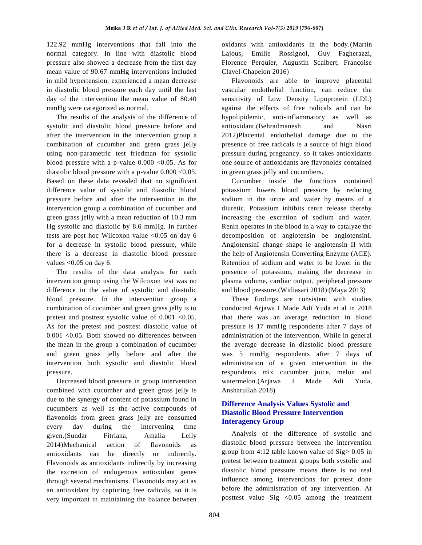122.92 mmHg interventions that fall into the normal category. In line with diastolic blood pressure also showed a decrease from the first day mean value of 90.67 mmHg interventions included in mild hypertension, experienced a mean decrease in diastolic blood pressure each day until the last day of the intervention the mean value of 80.40 mmHg were categorized as normal.

The results of the analysis of the difference of systolic and diastolic blood pressure before and after the intervention in the intervention group a combination of cucumber and green grass jelly using non-parametric test friedman for systolic blood pressure with a p-value  $0.000 \le 0.05$ . As for diastolic blood pressure with a p-value  $0.000 < 0.05$ . Based on these data revealed that no significant difference value of systolic and diastolic blood pressure before and after the intervention in the intervention group a combination of cucumber and green grass jelly with a mean reduction of 10.3 mm Hg systolic and diastolic by 8.6 mmHg. In further tests are post hoc Wilcoxon value <0.05 on day 6 for a decrease in systolic blood pressure, while there is a decrease in diastolic blood pressure values  $< 0.05$  on day 6.

The results of the data analysis for each intervention group using the Wilcoxon test was no difference in the value of systolic and diastolic blood pressure. In the intervention group a combination of cucumber and green grass jelly is to pretest and posttest systolic value of  $0.001$  <  $0.05$ . As for the pretest and posttest diastolic value of 0.001 <0.05. Both showed no differences between the mean in the group a combination of cucumber and green grass jelly before and after the intervention both systolic and diastolic blood pressure.

Decreased blood pressure in group intervention combined with cucumber and green grass jelly is due to the synergy of content of potassium found in cucumbers as well as the active compounds of flavonoids from green grass jelly are consumed every day during the intervening time given.(Sundar Fitriana, Amalia Leily 2014)Mechanical action of flavonoids as antioxidants can be directly or indirectly. Flavonoids as antioxidants indirectly by increasing the excretion of endogenous antioxidant genes through several mechanisms. Flavonoids may act as an antioxidant by capturing free radicals, so it is very important in maintaining the balance between

oxidants with antioxidants in the body.(Martin Lajous, Emilie Rossignol, Guy Fagherazzi, Florence Perquier, Augustin Scalbert, Françoise Clavel-Chapelon 2016)

Flavonoids are able to improve placental vascular endothelial function, can reduce the sensitivity of Low Density Lipoprotein (LDL) against the effects of free radicals and can be hypolipidemic, anti-inflammatory as well as antioxidant.(Behradmanesh and Nasri 2012)Placental endothelial damage due to the presence of free radicals is a source of high blood pressure during pregnancy. so it takes antioxidants one source of antioxidants are flavonoids contained in green grass jelly and cucumbers.

Cucumber inside the functions contained potassium lowers blood pressure by reducing sodium in the urine and water by means of a diuretic. Potassium inhibits renin release thereby increasing the excretion of sodium and water. Renin operates in the blood in a way to catalyze the decomposition of angiotensin be angiotensinI. AngiotensinI change shape ie angiotensin II with the help of Angiotensin Converting Enzyme (ACE). Retention of sodium and water to be lower in the presence of potassium, making the decrease in plasma volume, cardiac output, peripheral pressure and blood pressure. (Widiasari 2018)' (Maya 2013)

These findings are consistent with studies conducted Arjawa I Made Adi Yuda et al in 2018 that there was an average reduction in blood pressure is 17 mmHg respondents after 7 days of administration of the intervention. While in general the average decrease in diastolic blood pressure was 5 mmHg respondents after 7 days of administration of a given intervention in the respondents mix cucumber juice, melon and watermelon.(Arjawa I Made Adi Yuda, Ansharullah 2018)

## **Difference Analysis Values Systolic and Diastolic Blood Pressure Intervention Interagency Group**

Analysis of the difference of systolic and diastolic blood pressure between the intervention group from 4:12 table known value of Sig> 0.05 in pretest between treatment groups both systolic and diastolic blood pressure means there is no real influence among interventions for pretest done before the administration of any intervention. At posttest value Sig <0.05 among the treatment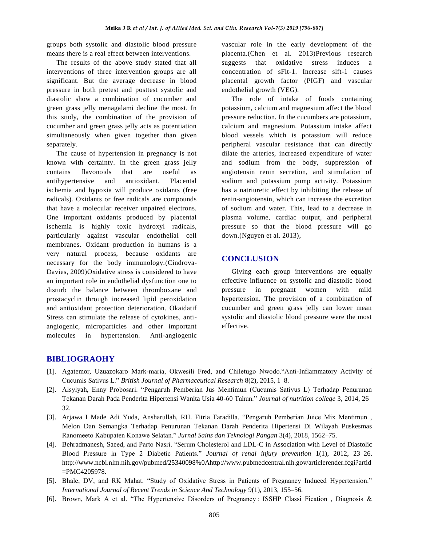groups both systolic and diastolic blood pressure means there is a real effect between interventions.

The results of the above study stated that all interventions of three intervention groups are all significant. But the average decrease in blood pressure in both pretest and posttest systolic and diastolic show a combination of cucumber and green grass jelly menagalami decline the most. In this study, the combination of the provision of cucumber and green grass jelly acts as potentiation simultaneously when given together than given separately.

The cause of hypertension in pregnancy is not known with certainty. In the green grass jelly contains flavonoids that are useful as antihypertensive and antioxidant. Placental ischemia and hypoxia will produce oxidants (free radicals). Oxidants or free radicals are compounds that have a molecular receiver unpaired electrons. One important oxidants produced by placental ischemia is highly toxic hydroxyl radicals, particularly against vascular endothelial cell membranes. Oxidant production in humans is a very natural process, because oxidants are necessary for the body immunology.(Cindrova-Davies, 2009)Oxidative stress is considered to have an important role in endothelial dysfunction one to disturb the balance between thromboxane and prostacyclin through increased lipid peroxidation and antioxidant protection deterioration. Okaidatif Stress can stimulate the release of cytokines, antiangiogenic, microparticles and other important molecules in hypertension. Anti-angiogenic

vascular role in the early development of the placenta.(Chen et al. 2013)Previous research suggests that oxidative stress induces a concentration of sFlt-1. Increase slft-1 causes placental growth factor (PIGF) and vascular endothelial growth (VEG).

The role of intake of foods containing potassium, calcium and magnesium affect the blood pressure reduction. In the cucumbers are potassium, calcium and magnesium. Potassium intake affect blood vessels which is potassium will reduce peripheral vascular resistance that can directly dilate the arteries, increased expenditure of water and sodium from the body, suppression of angiotensin renin secretion, and stimulation of sodium and potassium pump activity. Potassium has a natriuretic effect by inhibiting the release of renin-angiotensin, which can increase the excretion of sodium and water. This, lead to a decrease in plasma volume, cardiac output, and peripheral pressure so that the blood pressure will go down.(Nguyen et al. 2013),

# **CONCLUSION**

Giving each group interventions are equally effective influence on systolic and diastolic blood pressure in pregnant women with mild hypertension. The provision of a combination of cucumber and green grass jelly can lower mean systolic and diastolic blood pressure were the most effective.

## **BIBLIOGRAOHY**

- [1]. Agatemor, Uzuazokaro Mark-maria, Okwesili Fred, and Chiletugo Nwodo."Anti-Inflammatory Activity of Cucumis Sativus L." *British Journal of Pharmaceutical Research* 8(2), 2015, 1–8.
- [2]. Aisyiyah, Enny Probosari. "Pengaruh Pemberian Jus Mentimun (Cucumis Sativus L) Terhadap Penurunan Tekanan Darah Pada Penderita Hipertensi Wanita Usia 40-60 Tahun." *Journal of nutrition college* 3, 2014, 26– 32.
- [3]. Arjawa I Made Adi Yuda, Ansharullah, RH. Fitria Faradilla. "Pengaruh Pemberian Juice Mix Mentimun , Melon Dan Semangka Terhadap Penurunan Tekanan Darah Penderita Hipertensi Di Wilayah Puskesmas Ranomeeto Kabupaten Konawe Selatan." *Jurnal Sains dan Teknologi Pangan* 3(4), 2018, 1562–75.
- [4]. Behradmanesh, Saeed, and Parto Nasri. "Serum Cholesterol and LDL-C in Association with Level of Diastolic Blood Pressure in Type 2 Diabetic Patients." *Journal of renal injury prevention* 1(1), 2012, 23–26. http://www.ncbi.nlm.nih.gov/pubmed/25340098%0Ahttp://www.pubmedcentral.nih.gov/articlerender.fcgi?artid =PMC4205978.
- [5]. Bhale, DV, and RK Mahat. "Study of Oxidative Stress in Patients of Pregnancy Induced Hypertension." *International Journal of Recent Trends in Science And Technology* 9(1), 2013, 155–56.
- [6]. Brown, Mark A et al. "The Hypertensive Disorders of Pregnancy : ISSHP Classi Fication , Diagnosis &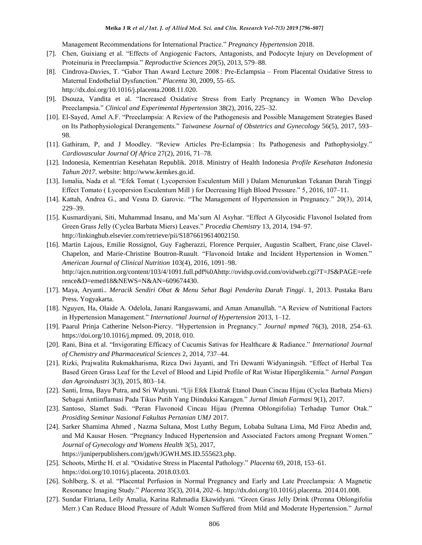Management Recommendations for International Practice." *Pregnancy Hypertension* 2018.

- [7]. Chen, Guixiang et al. "Effects of Angiogenic Factors, Antagonists, and Podocyte Injury on Development of Proteinuria in Preeclampsia." *Reproductive Sciences* 20(5), 2013, 579–88.
- [8]. Cindrova-Davies, T. "Gabor Than Award Lecture 2008 : Pre-Eclampsia From Placental Oxidative Stress to Maternal Endothelial Dysfunction." *Placenta* 30, 2009, 55–65. http://dx.doi.org/10.1016/j.placenta.2008.11.020.
- [9]. Dsouza, Vandita et al. "Increased Oxidative Stress from Early Pregnancy in Women Who Develop Preeclampsia." *Clinical and Experimental Hypertension* 38(2), 2016, 225–32.
- [10]. El-Sayed, Amel A.F. "Preeclampsia: A Review of the Pathogenesis and Possible Management Strategies Based on Its Pathophysiological Derangements." *Taiwanese Journal of Obstetrics and Gynecology* 56(5), 2017, 593– 98.
- [11]. Gathiram, P, and J Moodley. "Review Articles Pre-Eclampsia: Its Pathogenesis and Pathophysiolgy." *Cardiovascular Journal Of Africa* 27(2), 2016, 71–78.
- [12]. Indonesia, Kementrian Kesehatan Republik. 2018. Ministry of Health Indonesia *Profile Kesehatan Indonesia Tahun 2017*. website: http://www.kemkes.go.id.
- [13]. Ismalia, Nada et al. "Efek Tomat ( Lycopersion Esculentum Mill ) Dalam Menurunkan Tekanan Darah Tinggi Effect Tomato ( Lycopersion Esculentum Mill ) for Decreasing High Blood Pressure." 5, 2016, 107–11.
- [14]. Kattah, Andrea G., and Vesna D. Garovic. "The Management of Hypertension in Pregnancy." 20(3), 2014, 229–39.
- [15]. Kusmardiyani, Siti, Muhammad Insanu, and Ma'sum Al Asyhar. "Effect A Glycosidic Flavonol Isolated from Green Grass Jelly (Cyclea Barbata Miers) Leaves." *Procedia Chemistry* 13, 2014, 194–97. http://linkinghub.elsevier.com/retrieve/pii/S1876619614002150.
- [16]. Martin Lajous, Emilie Rossignol, Guy Fagherazzi, Florence Perquier, Augustin Scalbert, Franc¸oise Clavel-Chapelon, and Marie-Christine Boutron-Ruault. "Flavonoid Intake and Incident Hypertension in Women." *American Journal of Clinical Nutrition* 103(4), 2016, 1091–98. http://ajcn.nutrition.org/content/103/4/1091.full.pdf%0Ahttp://ovidsp.ovid.com/ovidweb.cgi?T=JS&PAGE=refe rence&D=emed18&NEWS=N&AN=609674430.
- [17]. Maya, Aryanti.. *Meracik Sendiri Obat & Menu Sehat Bagi Penderita Darah Tinggi*. 1, 2013. Pustaka Baru Press. Yogyakarta.
- [18]. Nguyen, Ha, Olaide A. Odelola, Janani Rangaswami, and Aman Amanullah. "A Review of Nutritional Factors in Hypertension Management." *International Journal of Hypertension* 2013, 1–12.
- [19]. Paarul Prinja Catherine Nelson-Piercy. "Hypertension in Pregnancy." *Journal mpmed* 76(3), 2018, 254–63. https://doi.org/10.1016/j.mpmed. 09, 2018, 010.
- [20]. Rani, Bina et al. "Invigorating Efficacy of Cucumis Sativas for Healthcare & Radiance." *International Journal of Chemistry and Pharmaceutical Sciences* 2, 2014, 737–44.
- [21]. Rizki, Prajwalita Rukmakharisma, Rizca Dwi Jayanti, and Tri Dewanti Widyaningsih. "Effect of Herbal Tea Based Green Grass Leaf for the Level of Blood and Lipid Profile of Rat Wistar Hiperglikemia." *Jurnal Pangan dan Agroindustri* 3(3), 2015, 803–14.
- [22]. Santi, Irma, Bayu Putra, and Sri Wahyuni. "Uji Efek Ekstrak Etanol Daun Cincau Hijau (Cyclea Barbata Miers) Sebagai Antiinflamasi Pada Tikus Putih Yang Diinduksi Karagen." *Jurnal Ilmiah Farmasi* 9(1), 2017.
- [23]. Santoso, Slamet Sudi. "Peran Flavonoid Cincau Hijau (Premna Oblongifolia) Terhadap Tumor Otak." *Prosiding Seminar Nasional Fakultas Pertanian UMJ* 2017.
- [24]. Sarker Shamima Ahmed , Nazma Sultana, Most Luthy Begum, Lobaba Sultana Lima, Md Firoz Abedin and, and Md Kausar Hosen. "Pregnancy Induced Hypertension and Associated Factors among Pregnant Women." *Journal of Gynecology and Womens Health* 3(5), 2017, https://juniperpublishers.com/jgwh/JGWH.MS.ID.555623.php.
- [25]. Schoots, Mirthe H. et al. "Oxidative Stress in Placental Pathology." *Placenta* 69, 2018, 153–61. https://doi.org/10.1016/j.placenta. 2018.03.03.
- [26]. Sohlberg, S. et al. "Placental Perfusion in Normal Pregnancy and Early and Late Preeclampsia: A Magnetic Resonance Imaging Study." *Placenta* 35(3), 2014, 202–6. http://dx.doi.org/10.1016/j.placenta. 2014.01.008.
- [27]. Sundar Fitriana, Leily Amalia, Karina Rahmadia Ekawidyani. "Green Grass Jelly Drink (Premna Oblongifolia Merr.) Can Reduce Blood Pressure of Adult Women Suffered from Mild and Moderate Hypertension." *Jurnal*